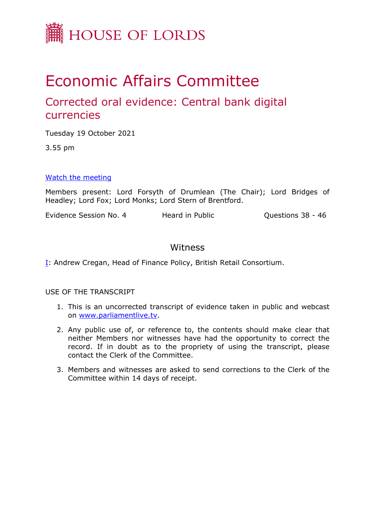

# Economic Affairs Committee

# Corrected oral evidence: Central bank digital currencies

Tuesday 19 October 2021

3.55 pm

### [Watch](https://parliamentlive.tv/Event/Index/d55dc1fb-c8ce-4bfb-b33d-ed4cd564f8fb) [the](https://parliamentlive.tv/Event/Index/d55dc1fb-c8ce-4bfb-b33d-ed4cd564f8fb) [meeting](https://parliamentlive.tv/Event/Index/d55dc1fb-c8ce-4bfb-b33d-ed4cd564f8fb)

Members present: Lord Forsyth of Drumlean (The Chair); Lord Bridges of Headley; Lord Fox; Lord Monks; Lord Stern of Brentford.

Evidence Session No. 4 Heard in Public Cuestions 38 - 46

## Witness

[I:](#page-1-0) Andrew Cregan, Head of Finance Policy, British Retail Consortium.

USE OF THE TRANSCRIPT

- 1. This is an uncorrected transcript of evidence taken in public and webcast on [www.parliamentlive.tv.](http://www.parliamentlive.tv/)
- 2. Any public use of, or reference to, the contents should make clear that neither Members nor witnesses have had the opportunity to correct the record. If in doubt as to the propriety of using the transcript, please contact the Clerk of the Committee.
- 3. Members and witnesses are asked to send corrections to the Clerk of the Committee within 14 days of receipt.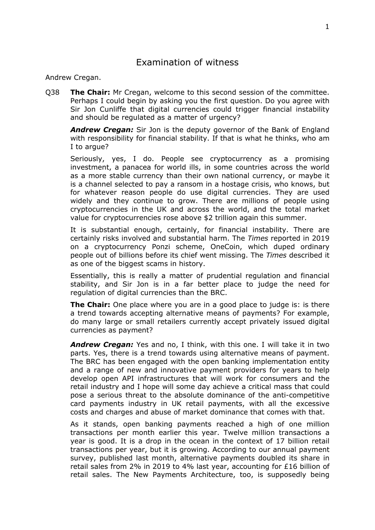# <span id="page-1-0"></span>Examination of witness

#### Andrew Cregan.

Q38 **The Chair:** Mr Cregan, welcome to this second session of the committee. Perhaps I could begin by asking you the first question. Do you agree with Sir Jon Cunliffe that digital currencies could trigger financial instability and should be regulated as a matter of urgency?

*Andrew Cregan:* Sir Jon is the deputy governor of the Bank of England with responsibility for financial stability. If that is what he thinks, who am I to argue?

Seriously, yes, I do. People see cryptocurrency as a promising investment, a panacea for world ills, in some countries across the world as a more stable currency than their own national currency, or maybe it is a channel selected to pay a ransom in a hostage crisis, who knows, but for whatever reason people do use digital currencies. They are used widely and they continue to grow. There are millions of people using cryptocurrencies in the UK and across the world, and the total market value for cryptocurrencies rose above \$2 trillion again this summer.

It is substantial enough, certainly, for financial instability. There are certainly risks involved and substantial harm. The *Times* reported in 2019 on a cryptocurrency Ponzi scheme, OneCoin, which duped ordinary people out of billions before its chief went missing. The *Times* described it as one of the biggest scams in history.

Essentially, this is really a matter of prudential regulation and financial stability, and Sir Jon is in a far better place to judge the need for regulation of digital currencies than the BRC.

**The Chair:** One place where you are in a good place to judge is: is there a trend towards accepting alternative means of payments? For example, do many large or small retailers currently accept privately issued digital currencies as payment?

*Andrew Cregan:* Yes and no, I think, with this one. I will take it in two parts. Yes, there is a trend towards using alternative means of payment. The BRC has been engaged with the open banking implementation entity and a range of new and innovative payment providers for years to help develop open API infrastructures that will work for consumers and the retail industry and I hope will some day achieve a critical mass that could pose a serious threat to the absolute dominance of the anti-competitive card payments industry in UK retail payments, with all the excessive costs and charges and abuse of market dominance that comes with that.

As it stands, open banking payments reached a high of one million transactions per month earlier this year. Twelve million transactions a year is good. It is a drop in the ocean in the context of 17 billion retail transactions per year, but it is growing. According to our annual payment survey, published last month, alternative payments doubled its share in retail sales from 2% in 2019 to 4% last year, accounting for £16 billion of retail sales. The New Payments Architecture, too, is supposedly being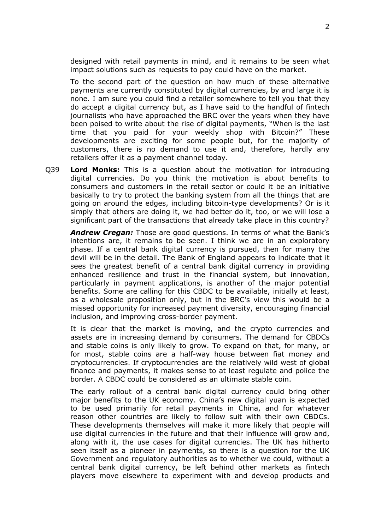designed with retail payments in mind, and it remains to be seen what impact solutions such as requests to pay could have on the market.

To the second part of the question on how much of these alternative payments are currently constituted by digital currencies, by and large it is none. I am sure you could find a retailer somewhere to tell you that they do accept a digital currency but, as I have said to the handful of fintech journalists who have approached the BRC over the years when they have been poised to write about the rise of digital payments, "When is the last time that you paid for your weekly shop with Bitcoin?" These developments are exciting for some people but, for the majority of customers, there is no demand to use it and, therefore, hardly any retailers offer it as a payment channel today.

Q39 **Lord Monks:** This is a question about the motivation for introducing digital currencies. Do you think the motivation is about benefits to consumers and customers in the retail sector or could it be an initiative basically to try to protect the banking system from all the things that are going on around the edges, including bitcoin-type developments? Or is it simply that others are doing it, we had better do it, too, or we will lose a significant part of the transactions that already take place in this country?

*Andrew Cregan:* Those are good questions. In terms of what the Bank's intentions are, it remains to be seen. I think we are in an exploratory phase. If a central bank digital currency is pursued, then for many the devil will be in the detail. The Bank of England appears to indicate that it sees the greatest benefit of a central bank digital currency in providing enhanced resilience and trust in the financial system, but innovation, particularly in payment applications, is another of the major potential benefits. Some are calling for this CBDC to be available, initially at least, as a wholesale proposition only, but in the BRC's view this would be a missed opportunity for increased payment diversity, encouraging financial inclusion, and improving cross-border payment.

It is clear that the market is moving, and the crypto currencies and assets are in increasing demand by consumers. The demand for CBDCs and stable coins is only likely to grow. To expand on that, for many, or for most, stable coins are a half-way house between fiat money and cryptocurrencies. If cryptocurrencies are the relatively wild west of global finance and payments, it makes sense to at least regulate and police the border. A CBDC could be considered as an ultimate stable coin.

The early rollout of a central bank digital currency could bring other major benefits to the UK economy. China's new digital yuan is expected to be used primarily for retail payments in China, and for whatever reason other countries are likely to follow suit with their own CBDCs. These developments themselves will make it more likely that people will use digital currencies in the future and that their influence will grow and, along with it, the use cases for digital currencies. The UK has hitherto seen itself as a pioneer in payments, so there is a question for the UK Government and regulatory authorities as to whether we could, without a central bank digital currency, be left behind other markets as fintech players move elsewhere to experiment with and develop products and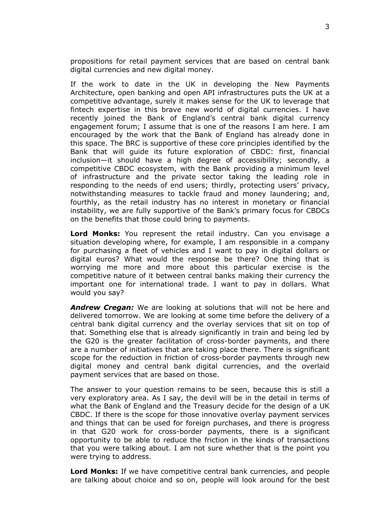propositions for retail payment services that are based on central bank digital currencies and new digital money.

If the work to date in the UK in developing the New Payments Architecture, open banking and open API infrastructures puts the UK at a competitive advantage, surely it makes sense for the UK to leverage that fintech expertise in this brave new world of digital currencies. I have recently joined the Bank of England's central bank digital currency engagement forum; I assume that is one of the reasons I am here. I am encouraged by the work that the Bank of England has already done in this space. The BRC is supportive of these core principles identified by the Bank that will guide its future exploration of CBDC: first, financial inclusion—it should have a high degree of accessibility; secondly, a competitive CBDC ecosystem, with the Bank providing a minimum level of infrastructure and the private sector taking the leading role in responding to the needs of end users; thirdly, protecting users' privacy, notwithstanding measures to tackle fraud and money laundering; and, fourthly, as the retail industry has no interest in monetary or financial instability, we are fully supportive of the Bank's primary focus for CBDCs on the benefits that those could bring to payments.

**Lord Monks:** You represent the retail industry. Can you envisage a situation developing where, for example, I am responsible in a company for purchasing a fleet of vehicles and I want to pay in digital dollars or digital euros? What would the response be there? One thing that is worrying me more and more about this particular exercise is the competitive nature of it between central banks making their currency the important one for international trade. I want to pay in dollars. What would you say?

*Andrew Cregan:* We are looking at solutions that will not be here and delivered tomorrow. We are looking at some time before the delivery of a central bank digital currency and the overlay services that sit on top of that. Something else that is already significantly in train and being led by the G20 is the greater facilitation of cross-border payments, and there are a number of initiatives that are taking place there. There is significant scope for the reduction in friction of cross-border payments through new digital money and central bank digital currencies, and the overlaid payment services that are based on those.

The answer to your question remains to be seen, because this is still a very exploratory area. As I say, the devil will be in the detail in terms of what the Bank of England and the Treasury decide for the design of a UK CBDC. If there is the scope for those innovative overlay payment services and things that can be used for foreign purchases, and there is progress in that G20 work for cross-border payments, there is a significant opportunity to be able to reduce the friction in the kinds of transactions that you were talking about. I am not sure whether that is the point you were trying to address.

**Lord Monks:** If we have competitive central bank currencies, and people are talking about choice and so on, people will look around for the best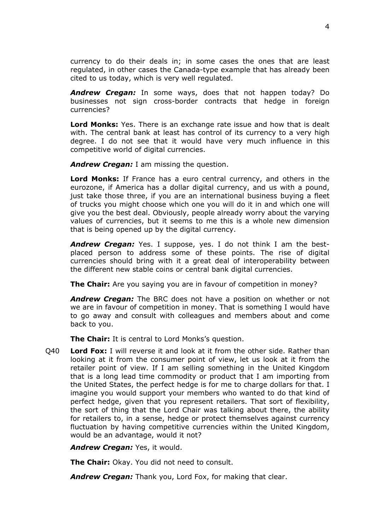currency to do their deals in; in some cases the ones that are least regulated, in other cases the Canada-type example that has already been cited to us today, which is very well regulated.

*Andrew Cregan:* In some ways, does that not happen today? Do businesses not sign cross-border contracts that hedge in foreign currencies?

**Lord Monks:** Yes. There is an exchange rate issue and how that is dealt with. The central bank at least has control of its currency to a very high degree. I do not see that it would have very much influence in this competitive world of digital currencies.

*Andrew Cregan:* I am missing the question.

**Lord Monks:** If France has a euro central currency, and others in the eurozone, if America has a dollar digital currency, and us with a pound, just take those three, if you are an international business buying a fleet of trucks you might choose which one you will do it in and which one will give you the best deal. Obviously, people already worry about the varying values of currencies, but it seems to me this is a whole new dimension that is being opened up by the digital currency.

*Andrew Cregan:* Yes. I suppose, yes. I do not think I am the bestplaced person to address some of these points. The rise of digital currencies should bring with it a great deal of interoperability between the different new stable coins or central bank digital currencies.

**The Chair:** Are you saying you are in favour of competition in money?

*Andrew Cregan:* The BRC does not have a position on whether or not we are in favour of competition in money. That is something I would have to go away and consult with colleagues and members about and come back to you.

**The Chair:** It is central to Lord Monks's question.

Q40 **Lord Fox:** I will reverse it and look at it from the other side. Rather than looking at it from the consumer point of view, let us look at it from the retailer point of view. If I am selling something in the United Kingdom that is a long lead time commodity or product that I am importing from the United States, the perfect hedge is for me to charge dollars for that. I imagine you would support your members who wanted to do that kind of perfect hedge, given that you represent retailers. That sort of flexibility, the sort of thing that the Lord Chair was talking about there, the ability for retailers to, in a sense, hedge or protect themselves against currency fluctuation by having competitive currencies within the United Kingdom, would be an advantage, would it not?

*Andrew Cregan:* Yes, it would.

**The Chair:** Okay. You did not need to consult.

*Andrew Cregan:* Thank you, Lord Fox, for making that clear.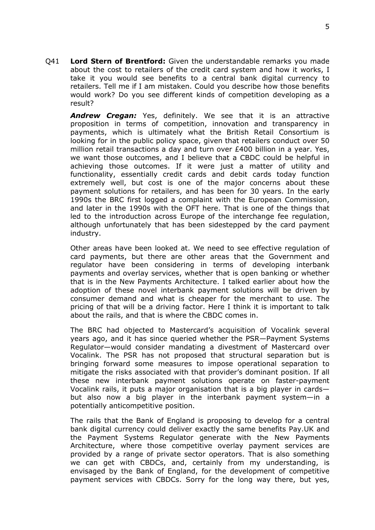Q41 **Lord Stern of Brentford:** Given the understandable remarks you made about the cost to retailers of the credit card system and how it works, I take it you would see benefits to a central bank digital currency to retailers. Tell me if I am mistaken. Could you describe how those benefits would work? Do you see different kinds of competition developing as a result?

*Andrew Cregan:* Yes, definitely. We see that it is an attractive proposition in terms of competition, innovation and transparency in payments, which is ultimately what the British Retail Consortium is looking for in the public policy space, given that retailers conduct over 50 million retail transactions a day and turn over £400 billion in a year. Yes, we want those outcomes, and I believe that a CBDC could be helpful in achieving those outcomes. If it were just a matter of utility and functionality, essentially credit cards and debit cards today function extremely well, but cost is one of the major concerns about these payment solutions for retailers, and has been for 30 years. In the early 1990s the BRC first logged a complaint with the European Commission, and later in the 1990s with the OFT here. That is one of the things that led to the introduction across Europe of the interchange fee regulation, although unfortunately that has been sidestepped by the card payment industry.

Other areas have been looked at. We need to see effective regulation of card payments, but there are other areas that the Government and regulator have been considering in terms of developing interbank payments and overlay services, whether that is open banking or whether that is in the New Payments Architecture. I talked earlier about how the adoption of these novel interbank payment solutions will be driven by consumer demand and what is cheaper for the merchant to use. The pricing of that will be a driving factor. Here I think it is important to talk about the rails, and that is where the CBDC comes in.

The BRC had objected to Mastercard's acquisition of Vocalink several years ago, and it has since queried whether the PSR—Payment Systems Regulator—would consider mandating a divestment of Mastercard over Vocalink. The PSR has not proposed that structural separation but is bringing forward some measures to impose operational separation to mitigate the risks associated with that provider's dominant position. If all these new interbank payment solutions operate on faster-payment Vocalink rails, it puts a major organisation that is a big player in cards but also now a big player in the interbank payment system—in a potentially anticompetitive position.

The rails that the Bank of England is proposing to develop for a central bank digital currency could deliver exactly the same benefits Pay.UK and the Payment Systems Regulator generate with the New Payments Architecture, where those competitive overlay payment services are provided by a range of private sector operators. That is also something we can get with CBDCs, and, certainly from my understanding, is envisaged by the Bank of England, for the development of competitive payment services with CBDCs. Sorry for the long way there, but yes,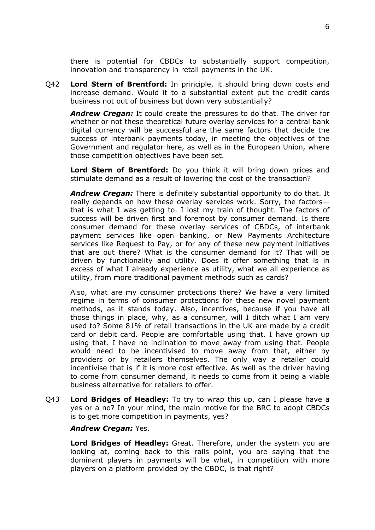there is potential for CBDCs to substantially support competition, innovation and transparency in retail payments in the UK.

Q42 **Lord Stern of Brentford:** In principle, it should bring down costs and increase demand. Would it to a substantial extent put the credit cards business not out of business but down very substantially?

*Andrew Cregan:* It could create the pressures to do that. The driver for whether or not these theoretical future overlay services for a central bank digital currency will be successful are the same factors that decide the success of interbank payments today, in meeting the objectives of the Government and regulator here, as well as in the European Union, where those competition objectives have been set.

**Lord Stern of Brentford:** Do you think it will bring down prices and stimulate demand as a result of lowering the cost of the transaction?

*Andrew Cregan:* There is definitely substantial opportunity to do that. It really depends on how these overlay services work. Sorry, the factors that is what I was getting to. I lost my train of thought. The factors of success will be driven first and foremost by consumer demand. Is there consumer demand for these overlay services of CBDCs, of interbank payment services like open banking, or New Payments Architecture services like Request to Pay, or for any of these new payment initiatives that are out there? What is the consumer demand for it? That will be driven by functionality and utility. Does it offer something that is in excess of what I already experience as utility, what we all experience as utility, from more traditional payment methods such as cards?

Also, what are my consumer protections there? We have a very limited regime in terms of consumer protections for these new novel payment methods, as it stands today. Also, incentives, because if you have all those things in place, why, as a consumer, will I ditch what I am very used to? Some 81% of retail transactions in the UK are made by a credit card or debit card. People are comfortable using that. I have grown up using that. I have no inclination to move away from using that. People would need to be incentivised to move away from that, either by providers or by retailers themselves. The only way a retailer could incentivise that is if it is more cost effective. As well as the driver having to come from consumer demand, it needs to come from it being a viable business alternative for retailers to offer.

Q43 **Lord Bridges of Headley:** To try to wrap this up, can I please have a yes or a no? In your mind, the main motive for the BRC to adopt CBDCs is to get more competition in payments, yes?

*Andrew Cregan:* Yes.

**Lord Bridges of Headley:** Great. Therefore, under the system you are looking at, coming back to this rails point, you are saying that the dominant players in payments will be what, in competition with more players on a platform provided by the CBDC, is that right?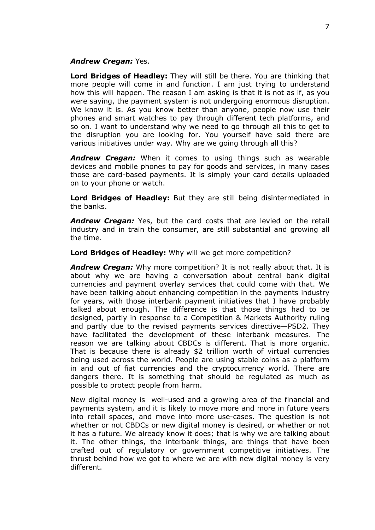#### *Andrew Cregan:* Yes.

**Lord Bridges of Headley:** They will still be there. You are thinking that more people will come in and function. I am just trying to understand how this will happen. The reason I am asking is that it is not as if, as you were saying, the payment system is not undergoing enormous disruption. We know it is. As you know better than anyone, people now use their phones and smart watches to pay through different tech platforms, and so on. I want to understand why we need to go through all this to get to the disruption you are looking for. You yourself have said there are various initiatives under way. Why are we going through all this?

*Andrew Cregan:* When it comes to using things such as wearable devices and mobile phones to pay for goods and services, in many cases those are card-based payments. It is simply your card details uploaded on to your phone or watch.

**Lord Bridges of Headley:** But they are still being disintermediated in the banks.

*Andrew Cregan:* Yes, but the card costs that are levied on the retail industry and in train the consumer, are still substantial and growing all the time.

**Lord Bridges of Headley:** Why will we get more competition?

*Andrew Cregan:* Why more competition? It is not really about that. It is about why we are having a conversation about central bank digital currencies and payment overlay services that could come with that. We have been talking about enhancing competition in the payments industry for years, with those interbank payment initiatives that I have probably talked about enough. The difference is that those things had to be designed, partly in response to a Competition & Markets Authority ruling and partly due to the revised payments services directive—PSD2. They have facilitated the development of these interbank measures. The reason we are talking about CBDCs is different. That is more organic. That is because there is already \$2 trillion worth of virtual currencies being used across the world. People are using stable coins as a platform in and out of fiat currencies and the cryptocurrency world. There are dangers there. It is something that should be regulated as much as possible to protect people from harm.

New digital money is well-used and a growing area of the financial and payments system, and it is likely to move more and more in future years into retail spaces, and move into more use-cases. The question is not whether or not CBDCs or new digital money is desired, or whether or not it has a future. We already know it does; that is why we are talking about it. The other things, the interbank things, are things that have been crafted out of regulatory or government competitive initiatives. The thrust behind how we got to where we are with new digital money is very different.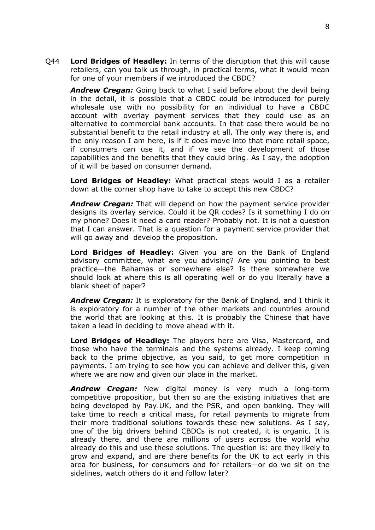Q44 **Lord Bridges of Headley:** In terms of the disruption that this will cause retailers, can you talk us through, in practical terms, what it would mean for one of your members if we introduced the CBDC?

*Andrew Cregan:* Going back to what I said before about the devil being in the detail, it is possible that a CBDC could be introduced for purely wholesale use with no possibility for an individual to have a CBDC account with overlay payment services that they could use as an alternative to commercial bank accounts. In that case there would be no substantial benefit to the retail industry at all. The only way there is, and the only reason I am here, is if it does move into that more retail space, if consumers can use it, and if we see the development of those capabilities and the benefits that they could bring. As I say, the adoption of it will be based on consumer demand.

**Lord Bridges of Headley:** What practical steps would I as a retailer down at the corner shop have to take to accept this new CBDC?

*Andrew Cregan:* That will depend on how the payment service provider designs its overlay service. Could it be QR codes? Is it something I do on my phone? Does it need a card reader? Probably not. It is not a question that I can answer. That is a question for a payment service provider that will go away and develop the proposition.

**Lord Bridges of Headley:** Given you are on the Bank of England advisory committee, what are you advising? Are you pointing to best practice—the Bahamas or somewhere else? Is there somewhere we should look at where this is all operating well or do you literally have a blank sheet of paper?

*Andrew Cregan:* It is exploratory for the Bank of England, and I think it is exploratory for a number of the other markets and countries around the world that are looking at this. It is probably the Chinese that have taken a lead in deciding to move ahead with it.

**Lord Bridges of Headley:** The players here are Visa, Mastercard, and those who have the terminals and the systems already. I keep coming back to the prime objective, as you said, to get more competition in payments. I am trying to see how you can achieve and deliver this, given where we are now and given our place in the market.

*Andrew Cregan:* New digital money is very much a long-term competitive proposition, but then so are the existing initiatives that are being developed by Pay.UK, and the PSR, and open banking. They will take time to reach a critical mass, for retail payments to migrate from their more traditional solutions towards these new solutions. As I say, one of the big drivers behind CBDCs is not created, it is organic. It is already there, and there are millions of users across the world who already do this and use these solutions. The question is: are they likely to grow and expand, and are there benefits for the UK to act early in this area for business, for consumers and for retailers—or do we sit on the sidelines, watch others do it and follow later?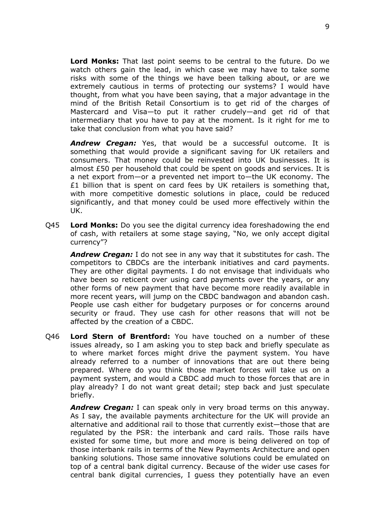**Lord Monks:** That last point seems to be central to the future. Do we watch others gain the lead, in which case we may have to take some risks with some of the things we have been talking about, or are we extremely cautious in terms of protecting our systems? I would have thought, from what you have been saying, that a major advantage in the mind of the British Retail Consortium is to get rid of the charges of Mastercard and Visa—to put it rather crudely—and get rid of that intermediary that you have to pay at the moment. Is it right for me to take that conclusion from what you have said?

*Andrew Cregan:* Yes, that would be a successful outcome. It is something that would provide a significant saving for UK retailers and consumers. That money could be reinvested into UK businesses. It is almost £50 per household that could be spent on goods and services. It is a net export from—or a prevented net import to—the UK economy. The  $£1$  billion that is spent on card fees by UK retailers is something that, with more competitive domestic solutions in place, could be reduced significantly, and that money could be used more effectively within the UK.

Q45 **Lord Monks:** Do you see the digital currency idea foreshadowing the end of cash, with retailers at some stage saying, "No, we only accept digital currency"?

*Andrew Cregan:* I do not see in any way that it substitutes for cash. The competitors to CBDCs are the interbank initiatives and card payments. They are other digital payments. I do not envisage that individuals who have been so reticent over using card payments over the years, or any other forms of new payment that have become more readily available in more recent years, will jump on the CBDC bandwagon and abandon cash. People use cash either for budgetary purposes or for concerns around security or fraud. They use cash for other reasons that will not be affected by the creation of a CBDC.

Q46 **Lord Stern of Brentford:** You have touched on a number of these issues already, so I am asking you to step back and briefly speculate as to where market forces might drive the payment system. You have already referred to a number of innovations that are out there being prepared. Where do you think those market forces will take us on a payment system, and would a CBDC add much to those forces that are in play already? I do not want great detail; step back and just speculate briefly.

*Andrew Cregan:* I can speak only in very broad terms on this anyway. As I say, the available payments architecture for the UK will provide an alternative and additional rail to those that currently exist—those that are regulated by the PSR: the interbank and card rails. Those rails have existed for some time, but more and more is being delivered on top of those interbank rails in terms of the New Payments Architecture and open banking solutions. Those same innovative solutions could be emulated on top of a central bank digital currency. Because of the wider use cases for central bank digital currencies, I guess they potentially have an even